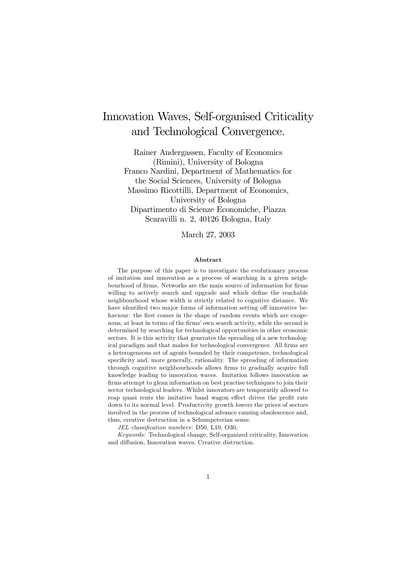# Innovation Waves, Self-organised Criticality and Technological Convergence.

Rainer Andergassen, Faculty of Economics (Rimini), University of Bologna Franco Nardini, Department of Mathematics for the Social Sciences, University of Bologna Massimo Ricottilli, Department of Economics, University of Bologna Dipartimento di Scienze Economiche, Piazza Scaravilli n. 2, 40126 Bologna, Italy

#### March 27, 2003

#### Abstract

The purpose of this paper is to investigate the evolutionary process of imitation and innovation as a process of searching in a given neighbourhood of firms. Networks are the main source of information for firms willing to actively search and upgrade and which define the reachable neighbourhood whose width is strictly related to cognitive distance. We have identified two major forms of information setting off innovative behaviour: the first comes in the shape of random events which are exogenous, at least in terms of the firms' own search activity, while the second is determined by searching for technological opportunities in other economic sectors. It is this activity that generates the spreading of a new technological paradigm and that makes for technological convergence. All firms are a heterogeneous set of agents bounded by their competence, technological specificity and, more generally, rationality. The spreading of information through cognitive neighbourhoods allows firms to gradually acquire full knowledge leading to innovation waves. Imitation follows innovation as firms attempt to glean information on best practise techniques to join their sector technological leaders. Whilst innovators are temporarily allowed to reap quasi rents the imitative band wagon effect drives the profit rate down to its normal level. Productivity growth lowers the prices of sectors involved in the process of technological advance causing obsolescence and, thus, creative destruction in a Schumpeterian sense.

JEL classification numbers: D50, L10, O30,

Keywords: Technological change, Self-organized criticality, Innovation and diffusion, Innovation waves, Creative distruction.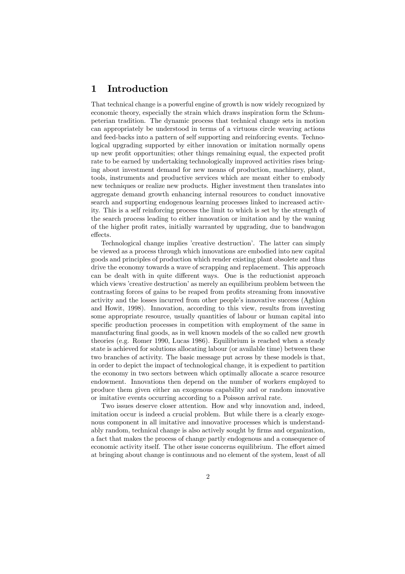# 1 Introduction

That technical change is a powerful engine of growth is now widely recognized by economic theory, especially the strain which draws inspiration form the Schumpeterian tradition. The dynamic process that technical change sets in motion can appropriately be understood in terms of a virtuous circle weaving actions and feed-backs into a pattern of self supporting and reinforcing events. Technological upgrading supported by either innovation or imitation normally opens up new profit opportunities; other things remaining equal, the expected profit rate to be earned by undertaking technologically improved activities rises bringing about investment demand for new means of production, machinery, plant, tools, instruments and productive services which are meant either to embody new techniques or realize new products. Higher investment then translates into aggregate demand growth enhancing internal resources to conduct innovative search and supporting endogenous learning processes linked to increased activity. This is a self reinforcing process the limit to which is set by the strength of the search process leading to either innovation or imitation and by the waning of the higher profit rates, initially warranted by upgrading, due to bandwagon effects.

Technological change implies 'creative destruction'. The latter can simply be viewed as a process through which innovations are embodied into new capital goods and principles of production which render existing plant obsolete and thus drive the economy towards a wave of scrapping and replacement. This approach can be dealt with in quite different ways. One is the reductionist approach which views 'creative destruction' as merely an equilibrium problem between the contrasting forces of gains to be reaped from profits streaming from innovative activity and the losses incurred from other people's innovative success (Aghion and Howit, 1998). Innovation, according to this view, results from investing some appropriate resource, usually quantities of labour or human capital into specific production processes in competition with employment of the same in manufacturing final goods, as in well known models of the so called new growth theories (e.g. Romer 1990, Lucas 1986). Equilibrium is reached when a steady state is achieved for solutions allocating labour (or available time) between these two branches of activity. The basic message put across by these models is that, in order to depict the impact of technological change, it is expedient to partition the economy in two sectors between which optimally allocate a scarce resource endowment. Innovations then depend on the number of workers employed to produce them given either an exogenous capability and or random innovative or imitative events occurring according to a Poisson arrival rate.

Two issues deserve closer attention. How and why innovation and, indeed, imitation occur is indeed a crucial problem. But while there is a clearly exogenous component in all imitative and innovative processes which is understandably random, technical change is also actively sought by firms and organization, a fact that makes the process of change partly endogenous and a consequence of economic activity itself. The other issue concerns equilibrium. The effort aimed at bringing about change is continuous and no element of the system, least of all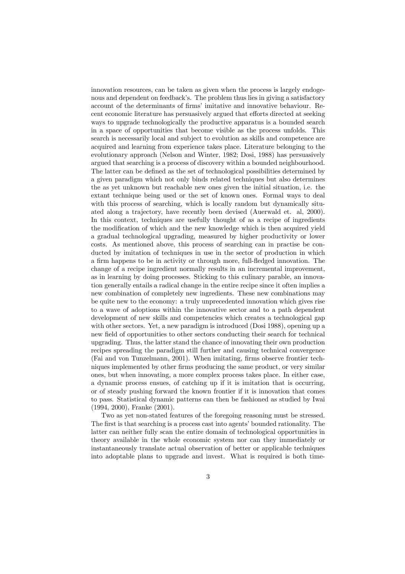innovation resources, can be taken as given when the process is largely endogenous and dependent on feedback's. The problem thus lies in giving a satisfactory account of the determinants of firms' imitative and innovative behaviour. Recent economic literature has persuasively argued that efforts directed at seeking ways to upgrade technologically the productive apparatus is a bounded search in a space of opportunities that become visible as the process unfolds. This search is necessarily local and subject to evolution as skills and competence are acquired and learning from experience takes place. Literature belonging to the evolutionary approach (Nelson and Winter, 1982; Dosi, 1988) has persuasively argued that searching is a process of discovery within a bounded neighbourhood. The latter can be defined as the set of technological possibilities determined by a given paradigm which not only binds related techniques but also determines the as yet unknown but reachable new ones given the initial situation, i.e. the extant technique being used or the set of known ones. Formal ways to deal with this process of searching, which is locally random but dynamically situated along a trajectory, have recently been devised (Auerwald et. al, 2000). In this context, techniques are usefully thought of as a recipe of ingredients the modification of which and the new knowledge which is then acquired yield a gradual technological upgrading, measured by higher productivity or lower costs. As mentioned above, this process of searching can in practise be conducted by imitation of techniques in use in the sector of production in which a firm happens to be in activity or through more, full-fledged innovation. The change of a recipe ingredient normally results in an incremental improvement, as in learning by doing processes. Sticking to this culinary parable, an innovation generally entails a radical change in the entire recipe since it often implies a new combination of completely new ingredients. These new combinations may be quite new to the economy: a truly unprecedented innovation which gives rise to a wave of adoptions within the innovative sector and to a path dependent development of new skills and competencies which creates a technological gap with other sectors. Yet, a new paradigm is introduced (Dosi 1988), opening up a new field of opportunities to other sectors conducting their search for technical upgrading. Thus, the latter stand the chance of innovating their own production recipes spreading the paradigm still further and causing technical convergence (Fai and von Tunzelmann, 2001). When imitating, firms observe frontier techniques implemented by other firms producing the same product, or very similar ones, but when innovating, a more complex process takes place. In either case, a dynamic process ensues, of catching up if it is imitation that is occurring, or of steady pushing forward the known frontier if it is innovation that comes to pass. Statistical dynamic patterns can then be fashioned as studied by Iwai (1994, 2000), Franke (2001).

Two as yet non-stated features of the foregoing reasoning must be stressed. The first is that searching is a process cast into agents' bounded rationality. The latter can neither fully scan the entire domain of technological opportunities in theory available in the whole economic system nor can they immediately or instantaneously translate actual observation of better or applicable techniques into adoptable plans to upgrade and invest. What is required is both time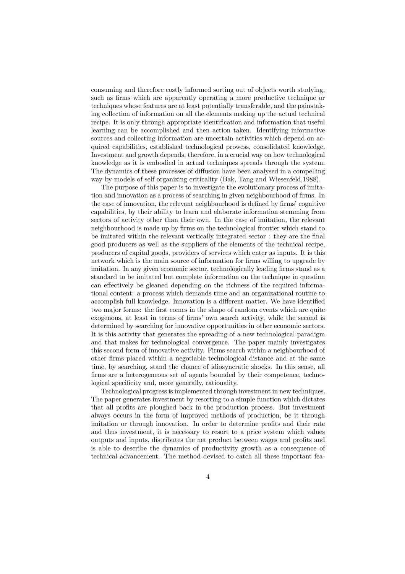consuming and therefore costly informed sorting out of objects worth studying, such as firms which are apparently operating a more productive technique or techniques whose features are at least potentially transferable, and the painstaking collection of information on all the elements making up the actual technical recipe. It is only through appropriate identification and information that useful learning can be accomplished and then action taken. Identifying informative sources and collecting information are uncertain activities which depend on acquired capabilities, established technological prowess, consolidated knowledge. Investment and growth depends, therefore, in a crucial way on how technological knowledge as it is embodied in actual techniques spreads through the system. The dynamics of these processes of diffusion have been analysed in a compelling way by models of self organizing criticality (Bak, Tang and Wiesenfeld,1988).

The purpose of this paper is to investigate the evolutionary process of imitation and innovation as a process of searching in given neighbourhood of firms. In the case of innovation, the relevant neighbourhood is defined by firms' cognitive capabilities, by their ability to learn and elaborate information stemming from sectors of activity other than their own. In the case of imitation, the relevant neighbourhood is made up by firms on the technological frontier which stand to be imitated within the relevant vertically integrated sector : they are the final good producers as well as the suppliers of the elements of the technical recipe, producers of capital goods, providers of services which enter as inputs. It is this network which is the main source of information for firms willing to upgrade by imitation. In any given economic sector, technologically leading firms stand as a standard to be imitated but complete information on the technique in question can effectively be gleaned depending on the richness of the required informational content: a process which demands time and an organizational routine to accomplish full knowledge. Innovation is a different matter. We have identified two major forms: the first comes in the shape of random events which are quite exogenous, at least in terms of firms' own search activity, while the second is determined by searching for innovative opportunities in other economic sectors. It is this activity that generates the spreading of a new technological paradigm and that makes for technological convergence. The paper mainly investigates this second form of innovative activity. Firms search within a neighbourhood of other firms placed within a negotiable technological distance and at the same time, by searching, stand the chance of idiosyncratic shocks. In this sense, all firms are a heterogeneous set of agents bounded by their competence, technological specificity and, more generally, rationality.

Technological progress is implemented through investment in new techniques. The paper generates investment by resorting to a simple function which dictates that all profits are ploughed back in the production process. But investment always occurs in the form of improved methods of production, be it through imitation or through innovation. In order to determine profits and their rate and thus investment, it is necessary to resort to a price system which values outputs and inputs, distributes the net product between wages and profits and is able to describe the dynamics of productivity growth as a consequence of technical advancement. The method devised to catch all these important fea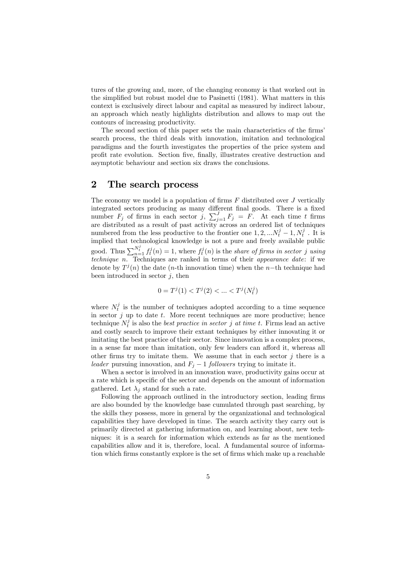tures of the growing and, more, of the changing economy is that worked out in the simplified but robust model due to Pasinetti (1981). What matters in this context is exclusively direct labour and capital as measured by indirect labour, an approach which neatly highlights distribution and allows to map out the contours of increasing productivity.

The second section of this paper sets the main characteristics of the firms' search process, the third deals with innovation, imitation and technological paradigms and the fourth investigates the properties of the price system and profit rate evolution. Section five, finally, illustrates creative destruction and asymptotic behaviour and section six draws the conclusions.

### 2 The search process

The economy we model is a population of firms  $F$  distributed over  $J$  vertically integrated sectors producing as many different final goods. There is a fixed number  $F_j$  of firms in each sector j,  $\sum_{j=1}^J F_j = F$ . At each time t firms are distributed as a result of past activity across an ordered list of techniques numbered from the less productive to the frontier one  $1, 2, \ldots N_t^j - 1, N_t^j$ . It is implied that technological knowledge is not a pure and freely available public good. Thus  $\sum_{n=1}^{N_t^j} f_t^j(n) = 1$ , where  $f_t^j(n)$  is the share of firms in sector j using technique n. Techniques are ranked in terms of their appearance date: if we denote by  $T^{j}(n)$  the date (n-th innovation time) when the n-th technique had been introduced in sector  $j$ , then

$$
0=T^j(1)
$$

where  $N_t^j$  is the number of techniques adopted according to a time sequence in sector  $j$  up to date  $t$ . More recent techniques are more productive; hence technique  $N_t^j$  is also the *best practice in sector j at time t*. Firms lead an active and costly search to improve their extant techniques by either innovating it or imitating the best practice of their sector. Since innovation is a complex process, in a sense far more than imitation, only few leaders can afford it, whereas all other firms try to imitate them. We assume that in each sector  $j$  there is a leader pursuing innovation, and  $F_j - 1$  followers trying to imitate it.

When a sector is involved in an innovation wave, productivity gains occur at a rate which is specific of the sector and depends on the amount of information gathered. Let  $\lambda_i$  stand for such a rate.

Following the approach outlined in the introductory section, leading firms are also bounded by the knowledge base cumulated through past searching, by the skills they possess, more in general by the organizational and technological capabilities they have developed in time. The search activity they carry out is primarily directed at gathering information on, and learning about, new techniques: it is a search for information which extends as far as the mentioned capabilities allow and it is, therefore, local. A fundamental source of information which firms constantly explore is the set of firms which make up a reachable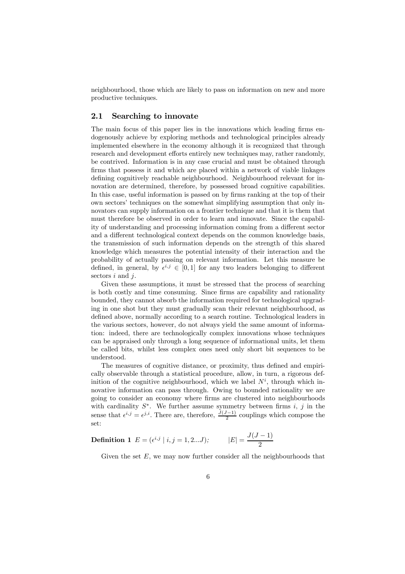neighbourhood, those which are likely to pass on information on new and more productive techniques.

#### 2.1 Searching to innovate

The main focus of this paper lies in the innovations which leading firms endogenously achieve by exploring methods and technological principles already implemented elsewhere in the economy although it is recognized that through research and development efforts entirely new techniques may, rather randomly, be contrived. Information is in any case crucial and must be obtained through firms that possess it and which are placed within a network of viable linkages defining cognitively reachable neighbourhood. Neighbourhood relevant for innovation are determined, therefore, by possessed broad cognitive capabilities. In this case, useful information is passed on by firms ranking at the top of their own sectors' techniques on the somewhat simplifying assumption that only innovators can supply information on a frontier technique and that it is them that must therefore be observed in order to learn and innovate. Since the capability of understanding and processing information coming from a different sector and a different technological context depends on the common knowledge basis, the transmission of such information depends on the strength of this shared knowledge which measures the potential intensity of their interaction and the probability of actually passing on relevant information. Let this measure be defined, in general, by  $\epsilon^{i,j} \in [0,1]$  for any two leaders belonging to different sectors  $i$  and  $j$ .

Given these assumptions, it must be stressed that the process of searching is both costly and time consuming. Since firms are capability and rationality bounded, they cannot absorb the information required for technological upgrading in one shot but they must gradually scan their relevant neighbourhood, as defined above, normally according to a search routine. Technological leaders in the various sectors, however, do not always yield the same amount of information: indeed, there are technologically complex innovations whose techniques can be appraised only through a long sequence of informational units, let them be called bits, whilst less complex ones need only short bit sequences to be understood.

The measures of cognitive distance, or proximity, thus defined and empirically observable through a statistical procedure, allow, in turn, a rigorous definition of the cognitive neighbourhood, which we label  $N^i$ , through which innovative information can pass through. Owing to bounded rationality we are going to consider an economy where firms are clustered into neighbourhoods with cardinality  $S^*$ . We further assume symmetry between firms i, j in the sense that  $\epsilon^{i,j} = \epsilon^{j,i}$ . There are, therefore,  $\frac{J(J-1)}{2}$  couplings which compose the set:

**Definition 1** 
$$
E = (e^{i,j} | i, j = 1, 2...J);
$$
  $|E| = \frac{J(J-1)}{2}$ 

Given the set  $E$ , we may now further consider all the neighbourhoods that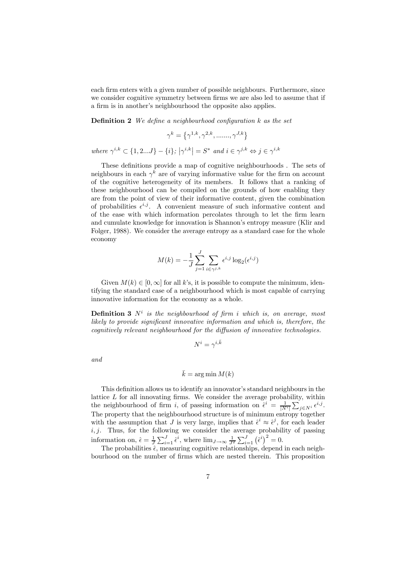each firm enters with a given number of possible neighbours. Furthermore, since we consider cognitive symmetry between firms we are also led to assume that if a firm is in another's neighbourhood the opposite also applies.

**Definition 2** We define a neighbourhood configuration  $k$  as the set

$$
\gamma^k = \left\{\gamma^{1,k}, \gamma^{2,k}, \dots, \gamma^{J,k}\right\}
$$

where  $\gamma^{i,k} \subset \{1, 2...J\} - \{i\}; |\gamma^{i,k}| = S^*$  and  $i \in \gamma^{j,k} \Leftrightarrow j \in \gamma^{i,k}$ 

These definitions provide a map of cognitive neighbourhoods . The sets of neighbours in each  $\gamma^k$  are of varying informative value for the firm on account of the cognitive heterogeneity of its members. It follows that a ranking of these neighbourhood can be compiled on the grounds of how enabling they are from the point of view of their informative content, given the combination of probabilities  $\epsilon^{i,j}$ . A convenient measure of such informative content and of the ease with which information percolates through to let the firm learn and cumulate knowledge for innovation is Shannon's entropy measure (Klir and Folger, 1988). We consider the average entropy as a standard case for the whole economy

$$
M(k) = -\frac{1}{J} \sum_{j=1}^{J} \sum_{i \in \gamma^{j,k}} \epsilon^{i,j} \log_2(\epsilon^{i,j})
$$

Given  $M(k) \in [0, \infty]$  for all k's, it is possible to compute the minimum, identifying the standard case of a neighbourhood which is most capable of carrying innovative information for the economy as a whole.

**Definition 3**  $N^i$  is the neighbourhood of firm i which is, on average, most likely to provide significant innovative information and which is, therefore, the cognitively relevant neighbourhood for the diffusion of innovative technologies.

$$
N^i = \gamma^{i,\bar{k}}
$$

and

$$
\bar{k} = \arg\min M(k)
$$

This definition allows us to identify an innovator's standard neighbours in the lattice  $L$  for all innovating firms. We consider the average probability, within the neighbourhood of firm *i*, of passing information on  $\hat{\epsilon}^i = \frac{1}{|N^i|} \sum_{j \in N^i} \epsilon^{i,j}$ . The property that the neighbourhood structure is of minimum entropy together with the assumption that J is very large, implies that  $\hat{\epsilon}^i \approx \hat{\epsilon}^j$ , for each leader  $i, j$ . Thus, for the following we consider the average probability of passing information on,  $\hat{\epsilon} = \frac{1}{J} \sum_{i=1}^{J} \hat{\epsilon}^i$ , where  $\lim_{J \to \infty} \frac{1}{J^2} \sum_{i=1}^{J} (\hat{\epsilon}^i)^2 = 0$ .

The probabilities  $\hat{\epsilon}$ , measuring cognitive relationships, depend in each neighbourhood on the number of firms which are nested therein. This proposition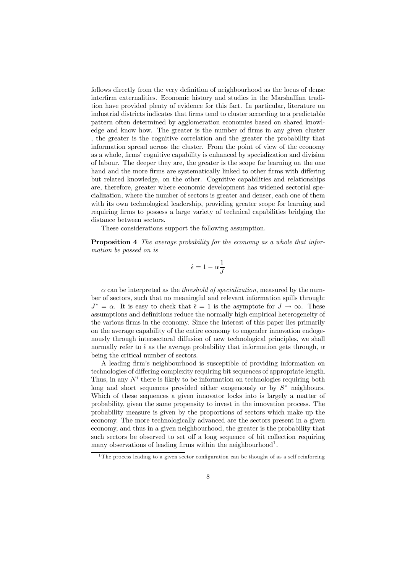follows directly from the very definition of neighbourhood as the locus of dense interfirm externalities. Economic history and studies in the Marshallian tradition have provided plenty of evidence for this fact. In particular, literature on industrial districts indicates that firms tend to cluster according to a predictable pattern often determined by agglomeration economies based on shared knowledge and know how. The greater is the number of firms in any given cluster , the greater is the cognitive correlation and the greater the probability that information spread across the cluster. From the point of view of the economy as a whole, firms' cognitive capability is enhanced by specialization and division of labour. The deeper they are, the greater is the scope for learning on the one hand and the more firms are systematically linked to other firms with differing but related knowledge, on the other. Cognitive capabilities and relationships are, therefore, greater where economic development has widened sectorial specialization, where the number of sectors is greater and denser, each one of them with its own technological leadership, providing greater scope for learning and requiring firms to possess a large variety of technical capabilities bridging the distance between sectors.

These considerations support the following assumption.

Proposition 4 The average probability for the economy as a whole that information be passed on is

$$
\hat{\epsilon} = 1 - \alpha \frac{1}{J}
$$

 $\alpha$  can be interpreted as the *threshold of specialization*, measured by the number of sectors, such that no meaningful and relevant information spills through:  $J^* = \alpha$ . It is easy to check that  $\hat{\epsilon} = 1$  is the asymptote for  $J \to \infty$ . These assumptions and definitions reduce the normally high empirical heterogeneity of the various firms in the economy. Since the interest of this paper lies primarily on the average capability of the entire economy to engender innovation endogenously through intersectoral diffusion of new technological principles, we shall normally refer to  $\hat{\epsilon}$  as the average probability that information gets through,  $\alpha$ being the critical number of sectors.

A leading firm's neighbourhood is susceptible of providing information on technologies of differing complexity requiring bit sequences of appropriate length. Thus, in any  $N<sup>i</sup>$  there is likely to be information on technologies requiring both long and short sequences provided either exogenously or by  $S^*$  neighbours. Which of these sequences a given innovator locks into is largely a matter of probability, given the same propensity to invest in the innovation process. The probability measure is given by the proportions of sectors which make up the economy. The more technologically advanced are the sectors present in a given economy, and thus in a given neighbourhood, the greater is the probability that such sectors be observed to set off a long sequence of bit collection requiring many observations of leading firms within the neighbourhood<sup>1</sup>.

<sup>&</sup>lt;sup>1</sup>The process leading to a given sector configuration can be thought of as a self reinforcing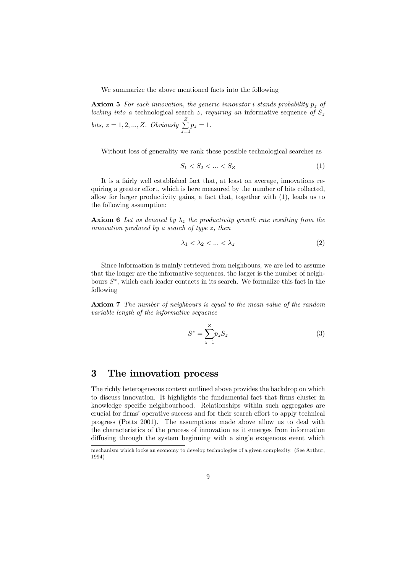We summarize the above mentioned facts into the following

**Axiom 5** For each innovation, the generic innovator i stands probability  $p_z$  of locking into a technological search z, requiring an informative sequence of  $S_z$ bits,  $z = 1, 2, ..., Z$ . Obviously  $\sum_{n=1}^{\infty}$  $\sum_{z=1} p_z = 1.$ 

Without loss of generality we rank these possible technological searches as

$$
S_1 < S_2 < \dots < S_Z \tag{1}
$$

It is a fairly well established fact that, at least on average, innovations requiring a greater effort, which is here measured by the number of bits collected, allow for larger productivity gains, a fact that, together with (1), leads us to the following assumption:

**Axiom 6** Let us denoted by  $\lambda_z$  the productivity growth rate resulting from the innovation produced by a search of type z, then

$$
\lambda_1 < \lambda_2 < \ldots < \lambda_z \tag{2}
$$

Since information is mainly retrieved from neighbours, we are led to assume that the longer are the informative sequences, the larger is the number of neighbours  $S^*$ , which each leader contacts in its search. We formalize this fact in the following

Axiom 7 The number of neighbours is equal to the mean value of the random variable length of the informative sequence

$$
S^* = \sum_{z=1}^{Z} p_z S_z \tag{3}
$$

# 3 The innovation process

The richly heterogeneous context outlined above provides the backdrop on which to discuss innovation. It highlights the fundamental fact that firms cluster in knowledge specific neighbourhood. Relationships within such aggregates are crucial for firms' operative success and for their search effort to apply technical progress (Potts 2001). The assumptions made above allow us to deal with the characteristics of the process of innovation as it emerges from information diffusing through the system beginning with a single exogenous event which

mechanism which locks an economy to develop technologies of a given complexity. (See Arthur, 1994)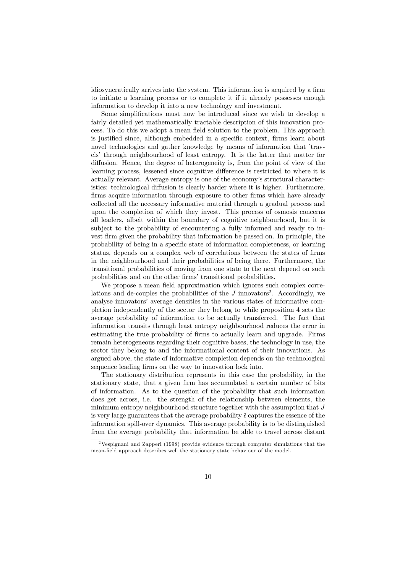idiosyncratically arrives into the system. This information is acquired by a firm to initiate a learning process or to complete it if it already possesses enough information to develop it into a new technology and investment.

Some simplifications must now be introduced since we wish to develop a fairly detailed yet mathematically tractable description of this innovation process. To do this we adopt a mean field solution to the problem. This approach is justified since, although embedded in a specific context, firms learn about novel technologies and gather knowledge by means of information that 'travels' through neighbourhood of least entropy. It is the latter that matter for diffusion. Hence, the degree of heterogeneity is, from the point of view of the learning process, lessened since cognitive difference is restricted to where it is actually relevant. Average entropy is one of the economy's structural characteristics: technological diffusion is clearly harder where it is higher. Furthermore, firms acquire information through exposure to other firms which have already collected all the necessary informative material through a gradual process and upon the completion of which they invest. This process of osmosis concerns all leaders, albeit within the boundary of cognitive neighbourhood, but it is subject to the probability of encountering a fully informed and ready to invest firm given the probability that information be passed on. In principle, the probability of being in a specific state of information completeness, or learning status, depends on a complex web of correlations between the states of firms in the neighbourhood and their probabilities of being there. Furthermore, the transitional probabilities of moving from one state to the next depend on such probabilities and on the other firms' transitional probabilities.

We propose a mean field approximation which ignores such complex correlations and de-couples the probabilities of the  $J$  innovators<sup>2</sup>. Accordingly, we analyse innovators' average densities in the various states of informative completion independently of the sector they belong to while proposition 4 sets the average probability of information to be actually transferred. The fact that information transits through least entropy neighbourhood reduces the error in estimating the true probability of firms to actually learn and upgrade. Firms remain heterogeneous regarding their cognitive bases, the technology in use, the sector they belong to and the informational content of their innovations. As argued above, the state of informative completion depends on the technological sequence leading firms on the way to innovation lock into.

The stationary distribution represents in this case the probability, in the stationary state, that a given firm has accumulated a certain number of bits of information. As to the question of the probability that such information does get across, i.e. the strength of the relationship between elements, the minimum entropy neighbourhood structure together with the assumption that J is very large guarantees that the average probability  $\hat{\epsilon}$  captures the essence of the information spill-over dynamics. This average probability is to be distinguished from the average probability that information be able to travel across distant

<sup>2</sup>Vespignani and Zapperi (1998) provide evidence through computer simulations that the mean-field approach describes well the stationary state behaviour of the model.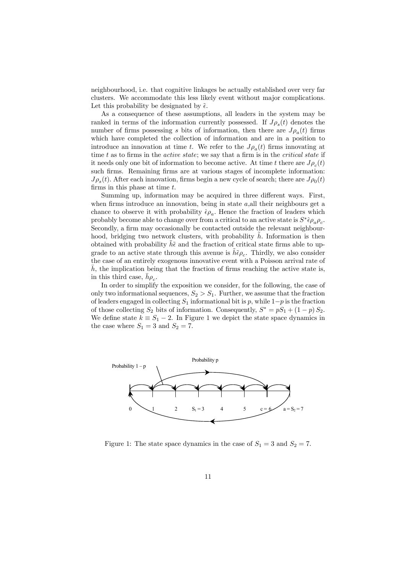neighbourhood, i.e. that cognitive linkages be actually established over very far clusters. We accommodate this less likely event without major complications. Let this probability be designated by  $\tilde{\epsilon}$ .

As a consequence of these assumptions, all leaders in the system may be ranked in terms of the information currently possessed. If  $J\rho_s(t)$  denotes the number of firms possessing s bits of information, then there are  $J_{\rho_a}(t)$  firms which have completed the collection of information and are in a position to introduce an innovation at time t. We refer to the  $J_{\rho_a}(t)$  firms innovating at time  $t$  as to firms in the *active state*; we say that a firm is in the *critical state* if it needs only one bit of information to become active. At time t there are  $J_{\rho_c}(t)$ such firms. Remaining firms are at various stages of incomplete information:  $J\rho_s(t)$ . After each innovation, firms begin a new cycle of search; there are  $J\rho_0(t)$ firms in this phase at time t.

Summing up, information may be acquired in three different ways. First, when firms introduce an innovation, being in state  $a$ , all their neighbours get a chance to observe it with probability  $\hat{\epsilon}\rho_a$ . Hence the fraction of leaders which probably become able to change over from a critical to an active state is  $S^* \hat{\epsilon} \rho_a \rho_c$ . Secondly, a firm may occasionally be contacted outside the relevant neighbourhood, bridging two network clusters, with probability  $\hbar$ . Information is then obtained with probability  $h\tilde{\epsilon}$  and the fraction of critical state firms able to upgrade to an active state through this avenue is  $\tilde{h}\tilde{\epsilon}\rho_c$ . Thirdly, we also consider the case of an entirely exogenous innovative event with a Poisson arrival rate of  $h$ , the implication being that the fraction of firms reaching the active state is, in this third case,  $h\rho_c$ .

In order to simplify the exposition we consider, for the following, the case of only two informational sequences,  $S_2 > S_1$ . Further, we assume that the fraction of leaders engaged in collecting  $S_1$  informational bit is p, while  $1-p$  is the fraction of those collecting  $S_2$  bits of information. Consequently,  $S^* = pS_1 + (1 - p)S_2$ . We define state  $k \equiv S_1 - 2$ . In Figure 1 we depict the state space dynamics in the case where  $S_1 = 3$  and  $S_2 = 7$ .



Figure 1: The state space dynamics in the case of  $S_1 = 3$  and  $S_2 = 7$ .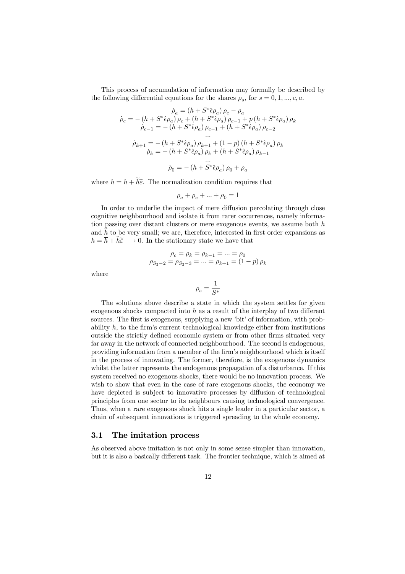This process of accumulation of information may formally be described by the following differential equations for the shares  $\rho_s$ , for  $s = 0, 1, \ldots, c, a$ .

$$
\dot{\rho}_a = (h + S^* \hat{e} \rho_a) \rho_c - \rho_a
$$
\n
$$
\dot{\rho}_{c-1} = -(h + S^* \hat{e} \rho_a) \rho_c + (h + S^* \hat{e} \rho_a) \rho_{c-1} + p (h + S^* \hat{e} \rho_a) \rho_k
$$
\n
$$
\dot{\rho}_{c-1} = -(h + S^* \hat{e} \rho_a) \rho_{c-1} + (h + S^* \hat{e} \rho_a) \rho_{c-2}
$$
\n...\n...\n
$$
\dot{\rho}_{k+1} = -(h + S^* \hat{e} \rho_a) \rho_{k+1} + (1 - p) (h + S^* \hat{e} \rho_a) \rho_k
$$
\n
$$
\dot{\rho}_k = -(h + S^* \hat{e} \rho_a) \rho_k + (h + S^* \hat{e} \rho_a) \rho_{k-1}
$$
\n...\n
$$
\dot{\rho}_0 = -(h + S^* \hat{e} \rho_a) \rho_0 + \rho_a
$$

where  $h = h + h\tilde{\epsilon}$ . The normalization condition requires that

$$
\rho_a+\rho_c+\ldots+\rho_0=1
$$

In order to underlie the impact of mere diffusion percolating through close cognitive neighbourhood and isolate it from rarer occurrences, namely information passing over distant clusters or mere exogenous events, we assume both  $\overline{h}$ and  $h_{\infty}$  to be very small; we are, therefore, interested in first order expansions as  $h = h + h\tilde{\varepsilon} \longrightarrow 0$ . In the stationary state we have that

$$
\begin{aligned} \rho_c = \rho_k = \rho_{k-1} = \ldots = \rho_0 \\ \rho_{S_2-2} = \rho_{S_2-3} = \ldots = \rho_{k+1} = (1-p)\, \rho_k \end{aligned}
$$

where

$$
\rho_c = \frac{1}{S^*}
$$

The solutions above describe a state in which the system settles for given exogenous shocks compacted into h as a result of the interplay of two different sources. The first is exogenous, supplying a new 'bit' of information, with probability h, to the firm's current technological knowledge either from institutions outside the strictly defined economic system or from other firms situated very far away in the network of connected neighbourhood. The second is endogenous, providing information from a member of the firm's neighbourhood which is itself in the process of innovating. The former, therefore, is the exogenous dynamics whilst the latter represents the endogenous propagation of a disturbance. If this system received no exogenous shocks, there would be no innovation process. We wish to show that even in the case of rare exogenous shocks, the economy we have depicted is subject to innovative processes by diffusion of technological principles from one sector to its neighbours causing technological convergence. Thus, when a rare exogenous shock hits a single leader in a particular sector, a chain of subsequent innovations is triggered spreading to the whole economy.

#### 3.1 The imitation process

As observed above imitation is not only in some sense simpler than innovation, but it is also a basically different task. The frontier technique, which is aimed at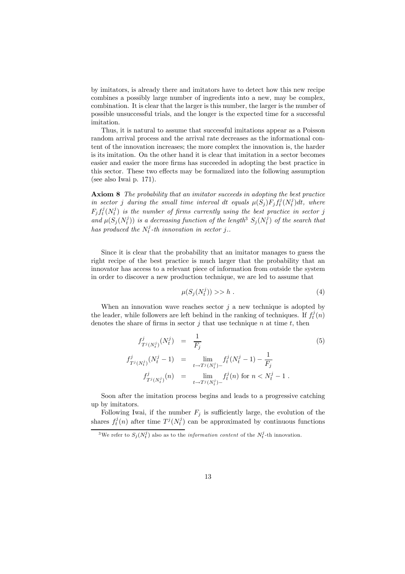by imitators, is already there and imitators have to detect how this new recipe combines a possibly large number of ingredients into a new, may be complex, combination. It is clear that the larger is this number, the larger is the number of possible unsuccessful trials, and the longer is the expected time for a successful imitation.

Thus, it is natural to assume that successful imitations appear as a Poisson random arrival process and the arrival rate decreases as the informational content of the innovation increases; the more complex the innovation is, the harder is its imitation. On the other hand it is clear that imitation in a sector becomes easier and easier the more firms has succeeded in adopting the best practice in this sector. These two effects may be formalized into the following assumption (see also Iwai p. 171).

Axiom 8 The probability that an imitator succeeds in adopting the best practice in sector j during the small time interval dt equals  $\mu(S_j) F_j f_t^j(N_t^j) dt$ , where  $F_j f_t^j(N_t^j)$  is the number of firms currently using the best practice in sector j and  $\mu(S_j(N_t^j))$  is a decreasing function of the length<sup>3</sup>  $S_j(N_t^j)$  of the search that has produced the  $N_t^j$ -th innovation in sector j..

Since it is clear that the probability that an imitator manages to guess the right recipe of the best practice is much larger that the probability that an innovator has access to a relevant piece of information from outside the system in order to discover a new production technique, we are led to assume that

$$
\mu(S_j(N_t^j)) >> h \tag{4}
$$

When an innovation wave reaches sector  $j$  a new technique is adopted by the leader, while followers are left behind in the ranking of techniques. If  $f_t^j(n)$ denotes the share of firms in sector  $j$  that use technique  $n$  at time  $t$ , then

$$
f_{T^{j}(N^{j}_{t})}^{j}(N^{j}_{t}) = \frac{1}{F_{j}}
$$
\n
$$
f_{T^{j}(N^{j}_{t})}^{j}(N^{j}_{t}-1) = \lim_{t \to T^{j}(N^{j}_{t})^{-}} f_{t}^{j}(N^{j}_{t}-1) - \frac{1}{F_{j}}
$$
\n
$$
f_{T^{j}(N^{j}_{t})}^{j}(n) = \lim_{t \to T^{j}(N^{j}_{t})^{-}} f_{t}^{j}(n) \text{ for } n < N^{j}_{t}-1.
$$
\n(5)

Soon after the imitation process begins and leads to a progressive catching up by imitators.

Following Iwai, if the number  $F_i$  is sufficiently large, the evolution of the shares  $f_t^j(n)$  after time  $T^j(N_t^j)$  can be approximated by continuous functions

<sup>&</sup>lt;sup>3</sup>We refer to  $S_j(N_t^j)$  also as to the *information content* of the  $N_t^j$ -th innovation.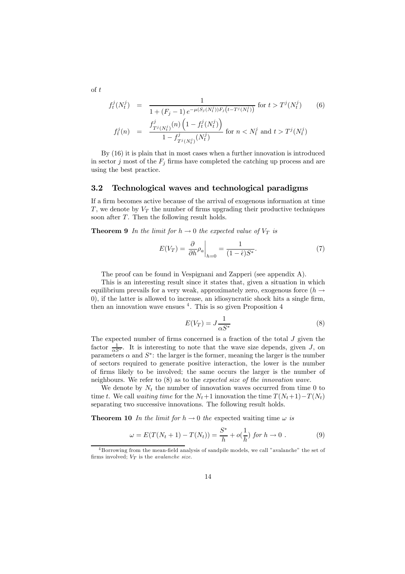$$
f_t^j(N_t^j) = \frac{1}{1 + (F_j - 1) e^{-\mu(S_j(N_t^j))F_j(t - T^j(N_t^j))}}
$$
 for  $t > T^j(N_t^j)$  (6)  

$$
f_t^j(n) = \frac{f_{T^j(N_t^j)}^j(n) \left(1 - f_t^j(N_t^j)\right)}{1 - f_{T^j(N_t^j)}^j(N_t^j)}
$$
 for  $n < N_t^j$  and  $t > T^j(N_t^j)$ 

By (16) it is plain that in most cases when a further innovation is introduced in sector j most of the  $F_i$  firms have completed the catching up process and are using the best practice.

#### 3.2 Technological waves and technological paradigms

If a firm becomes active because of the arrival of exogenous information at time T, we denote by  $V_T$  the number of firms upgrading their productive techniques soon after T. Then the following result holds.

**Theorem 9** In the limit for  $h \to 0$  the expected value of  $V_T$  is

$$
E(V_T) = \left. \frac{\partial}{\partial h} \rho_a \right|_{h=0} = \frac{1}{(1 - \hat{\epsilon})S^*}.
$$
 (7)

The proof can be found in Vespignani and Zapperi (see appendix A).

This is an interesting result since it states that, given a situation in which equilibrium prevails for a very weak, approximately zero, exogenous force ( $h \rightarrow$ 0), if the latter is allowed to increase, an idiosyncratic shock hits a single firm, then an innovation wave ensues  $4$ . This is so given Proposition  $4$ 

$$
E(V_T) = J \frac{1}{\alpha S^*}
$$
\n(8)

The expected number of firms concerned is a fraction of the total  $J$  given the factor  $\frac{1}{\alpha S^*}$ . It is interesting to note that the wave size depends, given J, on parameters  $\alpha$  and  $S^*$ : the larger is the former, meaning the larger is the number of sectors required to generate positive interaction, the lower is the number of firms likely to be involved; the same occurs the larger is the number of neighbours. We refer to (8) as to the expected size of the innovation wave.

We denote by  $N_t$  the number of innovation waves occurred from time 0 to time t. We call waiting time for the  $N_t+1$  innovation the time  $T(N_t+1)-T(N_t)$ separating two successive innovations. The following result holds.

**Theorem 10** In the limit for  $h \to 0$  the expected waiting time  $\omega$  is

$$
\omega = E(T(N_t + 1) - T(N_t)) = \frac{S^*}{h} + o(\frac{1}{h}) \text{ for } h \to 0.
$$
 (9)

of t

<sup>4</sup> Borrowing from the mean-field analysis of sandpile models, we call "avalanche" the set of firms involved;  $V_T$  is the *avalanche size*.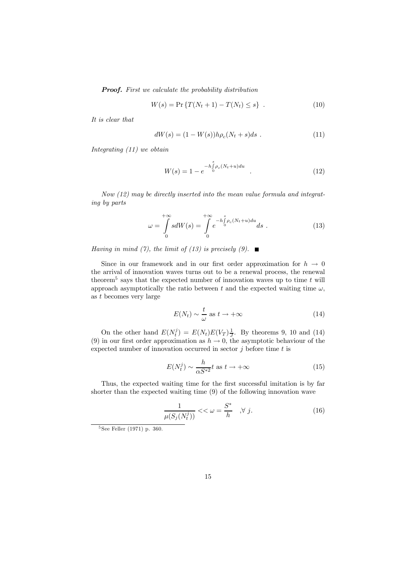**Proof.** First we calculate the probability distribution

$$
W(s) = \Pr \{ T(N_t + 1) - T(N_t) \le s \} . \tag{10}
$$

It is clear that

$$
dW(s) = (1 - W(s))h\rho_c(N_t + s)ds . \t(11)
$$

Integrating (11) we obtain

$$
W(s) = 1 - e^{-h \int_{0}^{s} \rho_c (N_t + u) du} \tag{12}
$$

Now (12) may be directly inserted into the mean value formula and integrating by parts

$$
\omega = \int_{0}^{+\infty} s dW(s) = \int_{0}^{+\infty} e^{-h \int_{0}^{s} \rho_{c}(N_{t}+u) du} ds . \qquad (13)
$$

Having in mind (7), the limit of (13) is precisely (9).  $\blacksquare$ 

Since in our framework and in our first order approximation for  $h \to 0$ the arrival of innovation waves turns out to be a renewal process, the renewal theorem<sup>5</sup> says that the expected number of innovation waves up to time  $t$  will approach asymptotically the ratio between t and the expected waiting time  $\omega$ , as t becomes very large

$$
E(N_t) \sim \frac{t}{\omega} \text{ as } t \to +\infty \tag{14}
$$

On the other hand  $E(N_t^j) = E(N_t)E(V_T)\frac{1}{J}$ . By theorems 9, 10 and (14) (9) in our first order approximation as  $h \to 0$ , the asymptotic behaviour of the expected number of innovation occurred in sector  $j$  before time  $t$  is

$$
E(N_t^j) \sim \frac{h}{\alpha S^{*2}} t \text{ as } t \to +\infty
$$
 (15)

Thus, the expected waiting time for the first successful imitation is by far shorter than the expected waiting time (9) of the following innovation wave

$$
\frac{1}{\mu(S_j(N_t^j))} << \omega = \frac{S^*}{h} \quad , \forall \ j. \tag{16}
$$

<sup>5</sup> See Feller (1971) p. 360.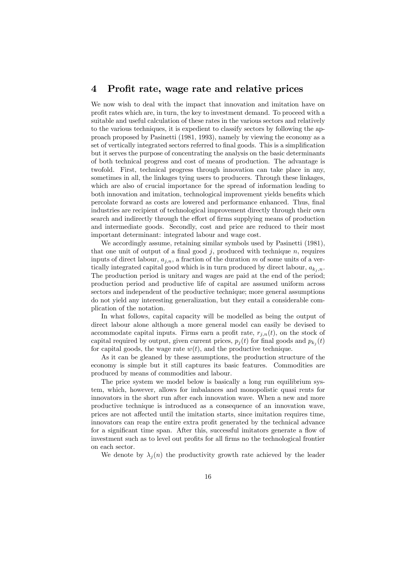### 4 Profit rate, wage rate and relative prices

We now wish to deal with the impact that innovation and imitation have on profit rates which are, in turn, the key to investment demand. To proceed with a suitable and useful calculation of these rates in the various sectors and relatively to the various techniques, it is expedient to classify sectors by following the approach proposed by Pasinetti (1981, 1993), namely by viewing the economy as a set of vertically integrated sectors referred to final goods. This is a simplification but it serves the purpose of concentrating the analysis on the basic determinants of both technical progress and cost of means of production. The advantage is twofold. First, technical progress through innovation can take place in any, sometimes in all, the linkages tying users to producers. Through these linkages, which are also of crucial importance for the spread of information leading to both innovation and imitation, technological improvement yields benefits which percolate forward as costs are lowered and performance enhanced. Thus, final industries are recipient of technological improvement directly through their own search and indirectly through the effort of firms supplying means of production and intermediate goods. Secondly, cost and price are reduced to their most important determinant: integrated labour and wage cost.

We accordingly assume, retaining similar symbols used by Pasinetti (1981), that one unit of output of a final good  $j$ , produced with technique  $n$ , requires inputs of direct labour,  $a_{i,n}$ , a fraction of the duration m of some units of a vertically integrated capital good which is in turn produced by direct labour,  $a_{k_i,n}$ . The production period is unitary and wages are paid at the end of the period; production period and productive life of capital are assumed uniform across sectors and independent of the productive technique; more general assumptions do not yield any interesting generalization, but they entail a considerable complication of the notation.

In what follows, capital capacity will be modelled as being the output of direct labour alone although a more general model can easily be devised to accommodate capital inputs. Firms earn a profit rate,  $r_{i,n}(t)$ , on the stock of capital required by output, given current prices,  $p_j(t)$  for final goods and  $p_{k_i}(t)$ for capital goods, the wage rate  $w(t)$ , and the productive technique.

As it can be gleaned by these assumptions, the production structure of the economy is simple but it still captures its basic features. Commodities are produced by means of commodities and labour.

The price system we model below is basically a long run equilibrium system, which, however, allows for imbalances and monopolistic quasi rents for innovators in the short run after each innovation wave. When a new and more productive technique is introduced as a consequence of an innovation wave, prices are not affected until the imitation starts, since imitation requires time, innovators can reap the entire extra profit generated by the technical advance for a significant time span. After this, successful imitators generate a flow of investment such as to level out profits for all firms no the technological frontier on each sector.

We denote by  $\lambda_i(n)$  the productivity growth rate achieved by the leader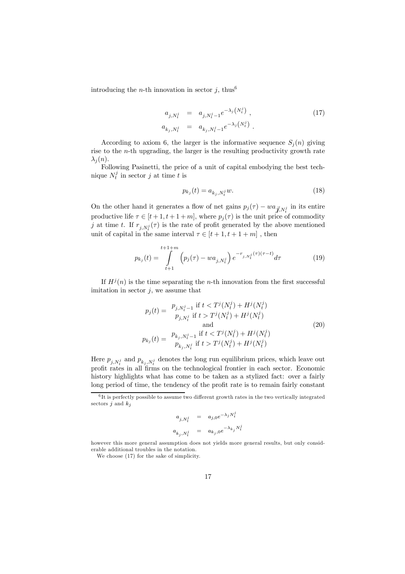introducing the *n*-th innovation in sector j, thus<sup>6</sup>

$$
a_{j,N_t^j} = a_{j,N_t^j-1} e^{-\lambda_j (N_t^j)},
$$
  
\n
$$
a_{k_j,N_t^j} = a_{k_j,N_t^j-1} e^{-\lambda_j (N_t^j)}.
$$
\n(17)

According to axiom 6, the larger is the informative sequence  $S_i(n)$  giving rise to the *n*-th upgrading, the larger is the resulting productivity growth rate  $\lambda_i(n)$ .

Following Pasinetti, the price of a unit of capital embodying the best technique  $N_t^j$  in sector j at time t is

$$
p_{k_j}(t) = a_{k_j, N_t^j} w.
$$
\n(18)

On the other hand it generates a flow of net gains  $p_j(\tau) - wa_{j\ell, N_t^j}$  in its entire productive life  $\tau \in [t+1, t+1+m]$ , where  $p_j(\tau)$  is the unit price of commodity j at time t. If  $r_{j,N_t^j}(\tau)$  is the rate of profit generated by the above mentioned unit of capital in the same interval  $\tau \in [t+1,t+1+m]$  , then

$$
p_{k_j}(t) = \int_{t+1}^{t+1+m} \left( p_j(\tau) - w a_{j,N_t^j} \right) e^{-r_{j,N_t^j}(\tau)(\tau - t)} d\tau \tag{19}
$$

If  $H^j(n)$  is the time separating the *n*-th innovation from the first successful imitation in sector  $j$ , we assume that

$$
p_j(t) = \frac{p_{j,N_t^j-1} \text{ if } t < T^j(N_t^j) + H^j(N_t^j)}{p_{j,N_t^j} \text{ if } t > T^j(N_t^j) + H^j(N_t^j)}
$$
  
and  

$$
p_{k_j}(t) = \frac{p_{k_j,N_t^j-1} \text{ if } t < T^j(N_t^j) + H^j(N_t^j)}{p_{k_j,N_t^j} \text{ if } t > T^j(N_t^j) + H^j(N_t^j)}
$$
(20)

Here  $p_{j,N_t^j}$  and  $p_{k_j,N_t^j}$  denotes the long run equilibrium prices, which leave out profit rates in all firms on the technological frontier in each sector. Economic history highlights what has come to be taken as a stylized fact: over a fairly long period of time, the tendency of the profit rate is to remain fairly constant

$$
a_{j,N_t^j} = a_{j,0}e^{-\lambda_j N_t^j}
$$
  

$$
a_{k_j,N_t^j} = a_{k_j,0}e^{-\lambda_{k_j}N_t^j}
$$

We choose (17) for the sake of simplicity.

 $6$  It is perfectly possible to assume two different growth rates in the two vertically integrated sectors j and  $k_j$ 

however this more general assumption does not yields more general results, but only considerable additional troubles in the notation.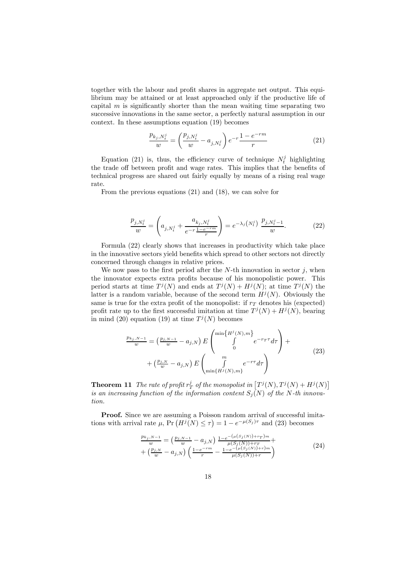together with the labour and profit shares in aggregate net output. This equilibrium may be attained or at least approached only if the productive life of capital  $m$  is significantly shorter than the mean waiting time separating two successive innovations in the same sector, a perfectly natural assumption in our context. In these assumptions equation (19) becomes

$$
\frac{p_{k_j, N_t^j}}{w} = \left(\frac{p_{j, N_t^j}}{w} - a_{j, N_t^j}\right) e^{-r} \frac{1 - e^{-rm}}{r}
$$
\n(21)

Equation (21) is, thus, the efficiency curve of technique  $N_t^j$  highlighting the trade off between profit and wage rates. This implies that the benefits of technical progress are shared out fairly equally by means of a rising real wage rate.

From the previous equations (21) and (18), we can solve for

$$
\frac{p_{j,N_t^j}}{w} = \left(a_{j,N_t^j} + \frac{a_{k_j,N_t^j}}{e^{-r}\frac{1-e^{-rm}}{r}}\right) = e^{-\lambda_j\left(N_t^j\right)}\frac{p_{j,N_t^j-1}}{w}.\tag{22}
$$

Formula (22) clearly shows that increases in productivity which take place in the innovative sectors yield benefits which spread to other sectors not directly concerned through changes in relative prices.

We now pass to the first period after the  $N$ -th innovation in sector j, when the innovator expects extra profits because of his monopolistic power. This period starts at time  $T^{j}(N)$  and ends at  $T^{j}(N) + H^{j}(N)$ ; at time  $T^{j}(N)$  the latter is a random variable, because of the second term  $H^{j}(N)$ . Obviously the same is true for the extra profit of the monopolist: if  $r<sub>T</sub>$  denotes his (expected) profit rate up to the first successful imitation at time  $T^{j}(N) + H^{j}(N)$ , bearing in mind (20) equation (19) at time  $T<sup>j</sup>(N)$  becomes

$$
\frac{p_{k_j, N-1}}{w} = \left(\frac{p_{j, N-1}}{w} - a_{j, N}\right) E \begin{pmatrix} \min\{H^j(N), m\} \\ \int_0^{\min\{H^j(N), m\}} e^{-r_T \tau} d\tau \\ 0 \end{pmatrix} + \left(\frac{p_{j, N}}{w} - a_{j, N}\right) E \begin{pmatrix} m \\ \int_0^{\infty} e^{-r \tau} d\tau \\ \min\{H^j(N), m\} \end{pmatrix}
$$
\n(23)

**Theorem 11** The rate of profit  $r_T^j$  of the monopolist in  $[T^j(N), T^j(N) + H^j(N)]$ is an increasing function of the information content  $S_j(N)$  of the N-th innovation.

**Proof.** Since we are assuming a Poisson random arrival of successful imitations with arrival rate  $\mu$ , Pr  $\left(H^{j}(N) \leq \tau\right) = 1 - e^{-\mu(S_{j})\tau}$  and (23) becomes

$$
\frac{p_{k_j,N-1}}{w} = \left(\frac{p_{j,N-1}}{w} - a_{j,N}\right) \frac{1 - e^{-\left(\mu(S_j(N)) + r\right)m}}{\mu(S_j(N)) + r\right)} + \left(\frac{p_{j,N}}{w} - a_{j,N}\right) \left(\frac{1 - e^{-rm}}{r} - \frac{1 - e^{-\left(\mu(S_j(N)) + r\right)m}}{\mu(S_j(N)) + r}\right)
$$
\n(24)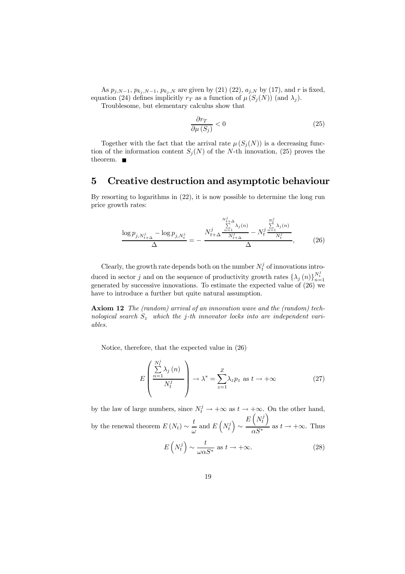As  $p_{j,N-1}, p_{k_j,N-1}, p_{k_j,N}$  are given by (21) (22),  $a_{j,N}$  by (17), and r is fixed, equation (24) defines implicitly  $r_T$  as a function of  $\mu(S_j(N))$  (and  $\lambda_j$ ).

Troublesome, but elementary calculus show that

$$
\frac{\partial r_T}{\partial \mu(S_j)} < 0 \tag{25}
$$

Together with the fact that the arrival rate  $\mu(S_j(N))$  is a decreasing function of the information content  $S_i(N)$  of the N-th innovation, (25) proves the theorem.  $\blacksquare$ 

### 5 Creative destruction and asymptotic behaviour

By resorting to logarithms in (22), it is now possible to determine the long run price growth rates:

$$
\frac{\log p_{j,N_{t+\Delta}^{j}} - \log p_{j,N_{t}^{j}}}{\Delta} = -\frac{N_{t+\Delta}^{j} \frac{\sum\limits_{n=1}^{N_{t+\Delta}^{j}} \lambda_{j}(n)}{N_{t+\Delta}^{j}} - N_{t}^{j} \frac{\sum\limits_{n=1}^{N_{t}^{j}} \lambda_{j}(n)}{N_{t}^{j}}}{\Delta}, \qquad (26)
$$

Clearly, the growth rate depends both on the number  $N_t^j$  of innovations introduced in sector j and on the sequence of productivity growth rates  $\{\lambda_j(n)\}_{n=1}^{N_t^j}$ generated by successive innovations. To estimate the expected value of (26) we have to introduce a further but quite natural assumption.

Axiom 12 The (random) arrival of an innovation wave and the (random) technological search  $S_z$  which the j-th innovator locks into are independent variables.

Notice, therefore, that the expected value in (26)

$$
E\left(\frac{\sum_{n=1}^{N_t^j} \lambda_j(n)}{N_t^j}\right) \to \lambda^* = \sum_{z=1}^Z \lambda_z p_z \text{ as } t \to +\infty
$$
 (27)

by the law of large numbers, since  $N_t^j \to +\infty$  as  $t \to +\infty$ . On the other hand, by the renewal theorem  $E(N_t) \sim \frac{t}{\omega}$  and  $E(N_t^j)$ ∼  $E\left(N_t^j\right)$  $\frac{1}{\alpha S^*}$  as  $t \to +\infty$ . Thus

$$
E\left(N_t^j\right) \sim \frac{t}{\omega \alpha S^*} \text{ as } t \to +\infty. \tag{28}
$$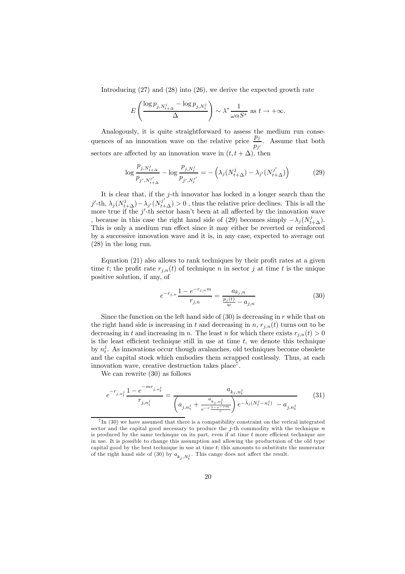Introducing  $(27)$  and  $(28)$  into  $(26)$ , we derive the expected growth rate

$$
E\left(\frac{\log p_{j,N_{t+\Delta}^j} - \log p_{j,N_t^j}}{\Delta}\right) \sim \lambda^* \frac{1}{\omega \alpha S^*} \text{ as } t \to +\infty.
$$

Analogously, it is quite straightforward to assess the medium run consequences of an innovation wave on the relative price  $\frac{p_j}{p_{j'}}$ . Assume that both sectors are affected by an innovation wave in  $(t, t + \Delta)$ , then

$$
\log \frac{p_{j,N_{t+\Delta}^{j}}}{p_{j',N_{t+\Delta}^{j'}}} - \log \frac{p_{j,N_{t}^{j}}}{p_{j',N_{t}^{j'}}} = -\left(\lambda_{j}(N_{t+\Delta}^{j}) - \lambda_{j'}(N_{t+\Delta}^{j'})\right)
$$
(29)

It is clear that, if the j-th innovator has locked in a longer search than the j'-th,  $\lambda_j (N^j_{t+\Delta}) - \lambda_{j'} (N^{j'}_{t+\Delta}) > 0$ , thus the relative price declines. This is all the more true if the  $j'$ -th sector hasn't been at all affected by the innovation wave , because in this case the right hand side of (29) becomes simply  $-\lambda_j (N_{t+\Delta}^j)$ . This is only a medium run effect since it may either be reverted or reinforced by a successive innovation wave and it is, in any case, expected to average out (28) in the long run.

Equation (21) also allows to rank techniques by their profit rates at a given time t; the profit rate  $r_{i,n}(t)$  of technique n in sector j at time t is the unique positive solution, if any, of

$$
e^{-r_{j,n}} \frac{1 - e^{-r_{j,n}m}}{r_{j,n}} = \frac{a_{k_j,n}}{\frac{p_j(t)}{w} - a_{j,n}} \tag{30}
$$

Since the function on the left hand side of  $(30)$  is decreasing in r while that on the right hand side is increasing in t and decreasing in n,  $r_{i,n}(t)$  turns out to be decreasing in t and increasing in n. The least n for which there exists  $r_{i,n}(t) > 0$ is the least efficient technique still in use at time  $t$ , we denote this technique by  $n_t^j$ . As innovations occur though avalanches, old techniques become obsolete and the capital stock which embodies them scrapped costlessly. Thus, at each innovation wave, creative destruction takes place<sup>7</sup>.

We can rewrite (30) as follows

$$
e^{-r_{j,n_t^j}} \frac{1 - e^{-mr_{j,n_t^j}}}{r_{j,n_t^j}} = \frac{a_{k_j,n_t^j}}{\left(a_{j,n_t^j} + \frac{a_{k_j,n_t^j}}{e^{-r}\frac{1 - e^{-rm}}{r}}\right)e^{-\bar{\lambda}_j(N_t^j - n_t^j)} - a_{j,n_t^j}}
$$
(31)

 ${}^{7}$ In (30) we have assumed that there is a compatibility constraint on the verical integrated sector and the capital good necessary to produce the  $j$ -th commodity with the technique  $n$ is produced by the same techinque on its part, even if at time  $t$  more efficient technique are in use. It is possible to change this assumption and allowing the productuion of the old type capital good by the best technique in use at time  $t$ ; this amounts to substitute the numerator of the right hand side of (30) by  $a_{k_j, N_t^j}$ . This cange does not affect the result.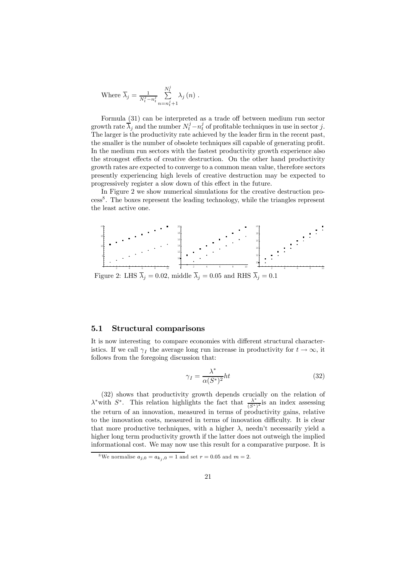Where 
$$
\overline{\lambda}_j = \frac{1}{N_t^j - n_t^j} \sum_{n=n_t^j+1}^{N_t^j} \lambda_j(n)
$$
.

Formula (31) can be interpreted as a trade off between medium run sector growth rate  $\overline{\lambda}_j$  and the number  $N_t^j - n_t^j$  of profitable techniques in use in sector j. The larger is the productivity rate achieved by the leader firm in the recent past, the smaller is the number of obsolete techniques sill capable of generating profit. In the medium run sectors with the fastest productivity growth experience also the strongest effects of creative destruction. On the other hand productivity growth rates are expected to converge to a common mean value, therefore sectors presently experiencing high levels of creative destruction may be expected to progressively register a slow down of this effect in the future.

In Figure 2 we show numerical simulations for the creative destruction pro- $\cos^8$ . The boxes represent the leading technology, while the triangles represent the least active one.



Figure 2: LHS  $\overline{\lambda}_j = 0.02$ , middle  $\overline{\lambda}_j = 0.05$  and RHS  $\overline{\lambda}_j = 0.1$ 

### 5.1 Structural comparisons

It is now interesting to compare economies with different structural characteristics. If we call  $\gamma_I$  the average long run increase in productivity for  $t \to \infty$ , it follows from the foregoing discussion that:

$$
\gamma_I = \frac{\lambda^*}{\alpha (S^*)^2} ht \tag{32}
$$

(32) shows that productivity growth depends crucially on the relation of  $\lambda^*$  with  $S^*$ . This relation highlights the fact that  $\frac{\lambda^*}{(S^*)^2}$  is an index assessing the return of an innovation, measured in terms of productivity gains, relative to the innovation costs, measured in terms of innovation difficulty. It is clear that more productive techniques, with a higher  $\lambda$ , needn't necessarily yield a higher long term productivity growth if the latter does not outweigh the implied informational cost. We may now use this result for a comparative purpose. It is

<sup>&</sup>lt;sup>8</sup>We normalise  $a_{j,0} = a_{k_j,0} = 1$  and set  $r = 0.05$  and  $m = 2$ .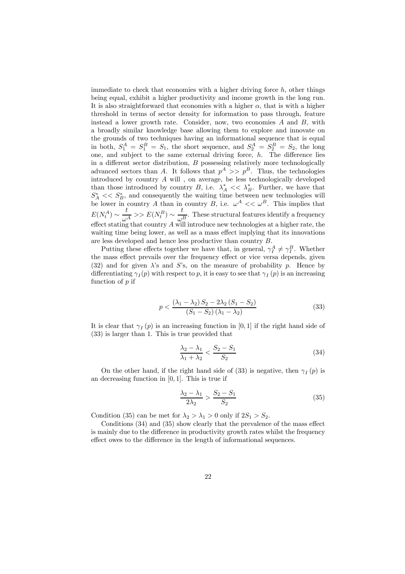immediate to check that economies with a higher driving force  $h$ , other things being equal, exhibit a higher productivity and income growth in the long run. It is also straightforward that economies with a higher  $\alpha$ , that is with a higher threshold in terms of sector density for information to pass through, feature instead a lower growth rate. Consider, now, two economies  $A$  and  $B$ , with a broadly similar knowledge base allowing them to explore and innovate on the grounds of two techniques having an informational sequence that is equal in both,  $S_1^A = S_1^B = S_1$ , the short sequence, and  $S_2^A = S_2^B = S_2$ , the long one, and subject to the same external driving force,  $h$ . The difference lies in a different sector distribution,  $B$  possessing relatively more technologically advanced sectors than A. It follows that  $p^A \gg p^B$ . Thus, the technologies introduced by country A will , on average, be less technologically developed than those introduced by country B, i.e.  $\lambda_A^* \ll \lambda_B^*$ . Further, we have that  $S_A^* \ll S_B^*$ , and consequently the waiting time between new technologies will be lower in country A than in country B, i.e.  $\omega^A \ll \omega^B$ . This implies that  $E(N_t^A) \sim \frac{t}{\omega^A} >> E(N_t^B) \sim \frac{t}{\omega^B}$ . These structural features identify a frequency effect stating that country A will introduce new technologies at a higher rate, the waiting time being lower, as well as a mass effect implying that its innovations are less developed and hence less productive than country B.

Putting these effects together we have that, in general,  $\gamma_I^A \neq \gamma_I^B$ . Whether the mass effect prevails over the frequency effect or vice versa depends, given (32) and for given  $\lambda$ 's and  $S$ 's, on the measure of probability p. Hence by differentiating  $\gamma_I(p)$  with respect to p, it is easy to see that  $\gamma_I(p)$  is an increasing function of p if

$$
p < \frac{(\lambda_1 - \lambda_2) S_2 - 2\lambda_2 (S_1 - S_2)}{(S_1 - S_2)(\lambda_1 - \lambda_2)}\tag{33}
$$

It is clear that  $\gamma_I(p)$  is an increasing function in [0, 1] if the right hand side of (33) is larger than 1. This is true provided that

$$
\frac{\lambda_2 - \lambda_1}{\lambda_1 + \lambda_2} < \frac{S_2 - S_1}{S_2} \tag{34}
$$

On the other hand, if the right hand side of (33) is negative, then  $\gamma_I(p)$  is an decreasing function in  $[0, 1]$ . This is true if

$$
\frac{\lambda_2 - \lambda_1}{2\lambda_2} > \frac{S_2 - S_1}{S_2} \tag{35}
$$

Condition (35) can be met for  $\lambda_2 > \lambda_1 > 0$  only if  $2S_1 > S_2$ .

Conditions (34) and (35) show clearly that the prevalence of the mass effect is mainly due to the difference in productivity growth rates whilst the frequency effect owes to the difference in the length of informational sequences.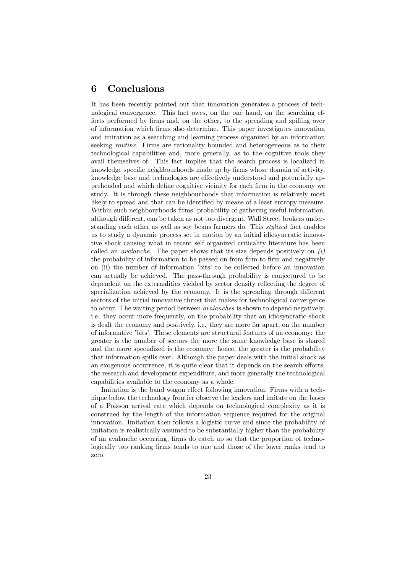# 6 Conclusions

It has been recently pointed out that innovation generates a process of technological convergence. This fact owes, on the one hand, on the searching efforts performed by firms and, on the other, to the spreading and spilling over of information which firms also determine. This paper investigates innovation and imitation as a searching and learning process organized by an information seeking *routine*. Firms are rationality bounded and heterogeneous as to their technological capabilities and, more generally, as to the cognitive tools they avail themselves of. This fact implies that the search process is localized in knowledge specific neighbourhoods made up by firms whose domain of activity, knowledge base and technologies are effectively understood and potentially apprehended and which define cognitive vicinity for each firm in the economy we study. It is through these neighbourhoods that information is relatively most likely to spread and that can be identified by means of a least entropy measure. Within such neighbourhoods firms' probability of gathering useful information, although different, can be taken as not too divergent, Wall Street brokers understanding each other as well as soy beans farmers do. This stylized fact enables us to study a dynamic process set in motion by an initial idiosyncratic innovative shock causing what in recent self organized criticality literature has been called an *avalanche*. The paper shows that its size depends positively on  $(i)$ the probability of information to be passed on from firm to firm and negatively on (ii) the number of information 'bits' to be collected before an innovation can actually be achieved. The pass-through probability is conjectured to be dependent on the externalities yielded by sector density reflecting the degree of specialization achieved by the economy. It is the spreading through different sectors of the initial innovative thrust that makes for technological convergence to occur. The waiting period between avalanches is shown to depend negatively, i.e. they occur more frequently, on the probability that an idiosyncratic shock is dealt the economy and positively, i.e. they are more far apart, on the number of informative 'bits'. These elements are structural features of an economy: the greater is the number of sectors the more the same knowledge base is shared and the more specialized is the economy: hence, the greater is the probability that information spills over. Although the paper deals with the initial shock as an exogenous occurrence, it is quite clear that it depends on the search efforts, the research and development expenditure, and more generally the technological capabilities available to the economy as a whole.

Imitation is the band wagon effect following innovation. Firms with a technique below the technology frontier observe the leaders and imitate on the bases of a Poisson arrival rate which depends on technological complexity as it is construed by the length of the information sequence required for the original innovation. Imitation then follows a logistic curve and since the probability of imitation is realistically assumed to be substantially higher than the probability of an avalanche occurring, firms do catch up so that the proportion of technologically top ranking firms tends to one and those of the lower ranks tend to zero.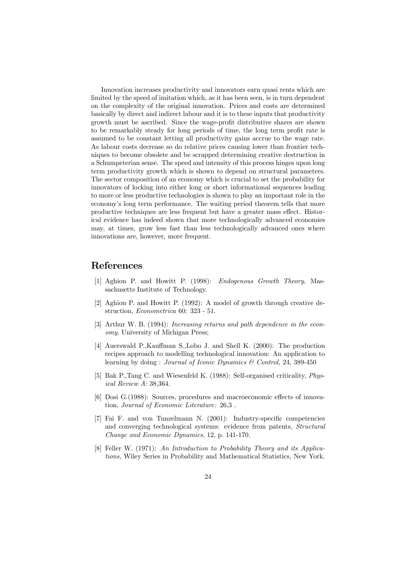Innovation increases productivity and innovators earn quasi rents which are limited by the speed of imitation which, as it has been seen, is in turn dependent on the complexity of the original innovation. Prices and costs are determined basically by direct and indirect labour and it is to these inputs that productivity growth must be ascribed. Since the wage-profit distributive shares are shown to be remarkably steady for long periods of time, the long term profit rate is assumed to be constant letting all productivity gains accrue to the wage rate. As labour costs decrease so do relative prices causing lower than frontier techniques to become obsolete and be scrapped determining creative destruction in a Schumpeterian sense. The speed and intensity of this process hinges upon long term productivity growth which is shown to depend on structural parameters. The sector composition of an economy which is crucial to set the probability for innovators of locking into either long or short informational sequences leading to more or less productive technologies is shown to play an important role in the economy's long term performance. The waiting period theorem tells that more productive techniques are less frequent but have a greater mass effect. Historical evidence has indeed shown that more technologically advanced economies may, at times, grow less fast than less technologically advanced ones where innovations are, however, more frequent.

# References

- [1] Aghion P. and Howitt P. (1998): Endogenous Growth Theory, Massachusetts Institute of Technology.
- [2] Aghion P. and Howitt P. (1992): A model of growth through creative destruction, Econometrica 60: 323 - 51.
- [3] Arthur W. B. (1994): Increasing returns and path dependence in the economy, University of Michigan Press;
- [4] Auerswald P.,Kauffman S.,Lobo J. and Shell K. (2000): The production recipes approach to modelling technological innovation: An application to learning by doing : *Journal of Iconic Dynamics & Control*, 24, 389-450
- [5] Bak P.,Tang C. and Wiesenfeld K. (1988): Self-organised criticality, Physical Review A: 38,364.
- [6] Dosi G.(1988): Sources, procedures and macroeconomic effects of innovation, Journal of Economic Literature: 26,3 .
- [7] Fai F. and von Tunzelmann N. (2001): Industry-specific competencies and converging technological systems: evidence from patents, Structural Change and Economic Dynamics, 12, p. 141-170.
- [8] Feller W. (1971): An Introduction to Probability Theory and its Applications, Wiley Series in Probability and Mathematical Statistics, New York.